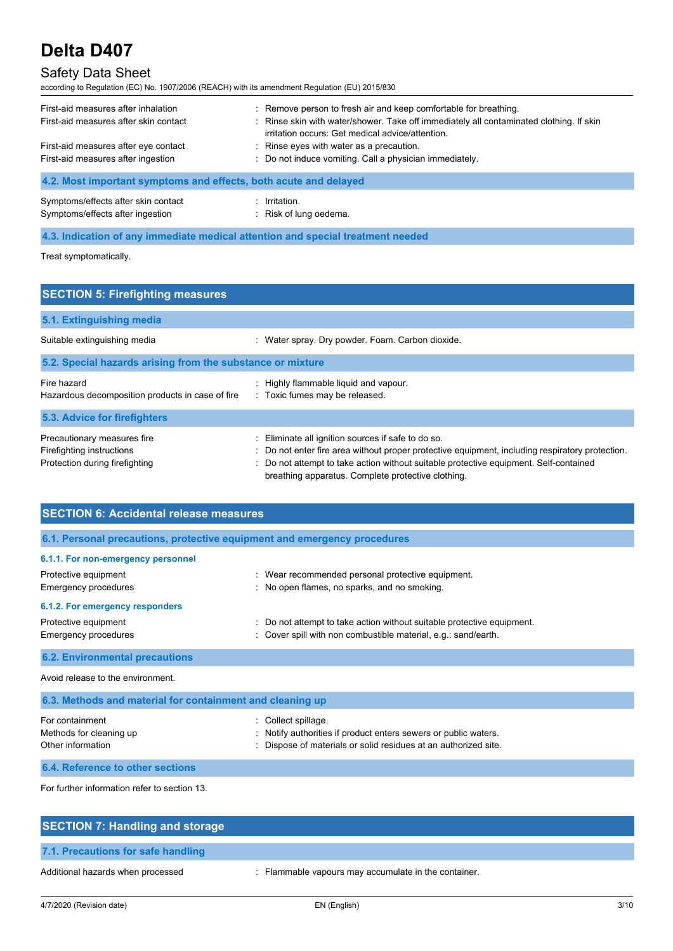

| First-aid measures after inhalation<br>First-aid measures after skin contact<br>First-aid measures after eye contact<br>First-aid measures after ingestion | : Remove person to fresh air and keep comfortable for breathing.<br>: Rinse skin with water/shower. Take off immediately all contaminated clothing. If skin<br>irritation occurs: Get medical advice/attention.<br>: Rinse eyes with water as a precaution.<br>: Do not induce vomiting. Call a physician immediately. |
|------------------------------------------------------------------------------------------------------------------------------------------------------------|------------------------------------------------------------------------------------------------------------------------------------------------------------------------------------------------------------------------------------------------------------------------------------------------------------------------|
| 4.2. Most important symptoms and effects, both acute and delayed                                                                                           |                                                                                                                                                                                                                                                                                                                        |

| Symptoms/effects after skin contact | : Irritation.          |
|-------------------------------------|------------------------|
| Symptoms/effects after ingestion    | : Risk of lung oedema. |

**4.3. Indication of any immediate medical attention and special treatment needed**

Treat symptomatically.

| <b>SECTION 5: Firefighting measures</b>                                                    |                                                                                                                                                                                                                                                                                                |
|--------------------------------------------------------------------------------------------|------------------------------------------------------------------------------------------------------------------------------------------------------------------------------------------------------------------------------------------------------------------------------------------------|
| 5.1. Extinguishing media                                                                   |                                                                                                                                                                                                                                                                                                |
| Suitable extinguishing media                                                               | : Water spray. Dry powder. Foam. Carbon dioxide.                                                                                                                                                                                                                                               |
| 5.2. Special hazards arising from the substance or mixture                                 |                                                                                                                                                                                                                                                                                                |
| Fire hazard<br>Hazardous decomposition products in case of fire                            | Highly flammable liquid and vapour.<br>: Toxic fumes may be released.                                                                                                                                                                                                                          |
| 5.3. Advice for firefighters                                                               |                                                                                                                                                                                                                                                                                                |
| Precautionary measures fire<br>Firefighting instructions<br>Protection during firefighting | Eliminate all ignition sources if safe to do so.<br>Do not enter fire area without proper protective equipment, including respiratory protection.<br>Do not attempt to take action without suitable protective equipment. Self-contained<br>breathing apparatus. Complete protective clothing. |

| <b>SECTION 6: Accidental release measures</b>                                             |                                                                                                                                                           |
|-------------------------------------------------------------------------------------------|-----------------------------------------------------------------------------------------------------------------------------------------------------------|
| 6.1. Personal precautions, protective equipment and emergency procedures                  |                                                                                                                                                           |
| 6.1.1. For non-emergency personnel<br>Protective equipment<br><b>Emergency procedures</b> | : Wear recommended personal protective equipment.<br>: No open flames, no sparks, and no smoking.                                                         |
| 6.1.2. For emergency responders<br>Protective equipment<br><b>Emergency procedures</b>    | : Do not attempt to take action without suitable protective equipment.<br>Cover spill with non combustible material, e.g.: sand/earth.                    |
| <b>6.2. Environmental precautions</b>                                                     |                                                                                                                                                           |
| Avoid release to the environment.                                                         |                                                                                                                                                           |
| 6.3. Methods and material for containment and cleaning up                                 |                                                                                                                                                           |
| For containment<br>Methods for cleaning up<br>Other information                           | : Collect spillage.<br>: Notify authorities if product enters sewers or public waters.<br>: Dispose of materials or solid residues at an authorized site. |

**6.4. Reference to other sections**

For further information refer to section 13.

| <b>SECTION 7: Handling and storage</b> |                                                      |
|----------------------------------------|------------------------------------------------------|
| 7.1. Precautions for safe handling     |                                                      |
| Additional hazards when processed      | : Flammable vapours may accumulate in the container. |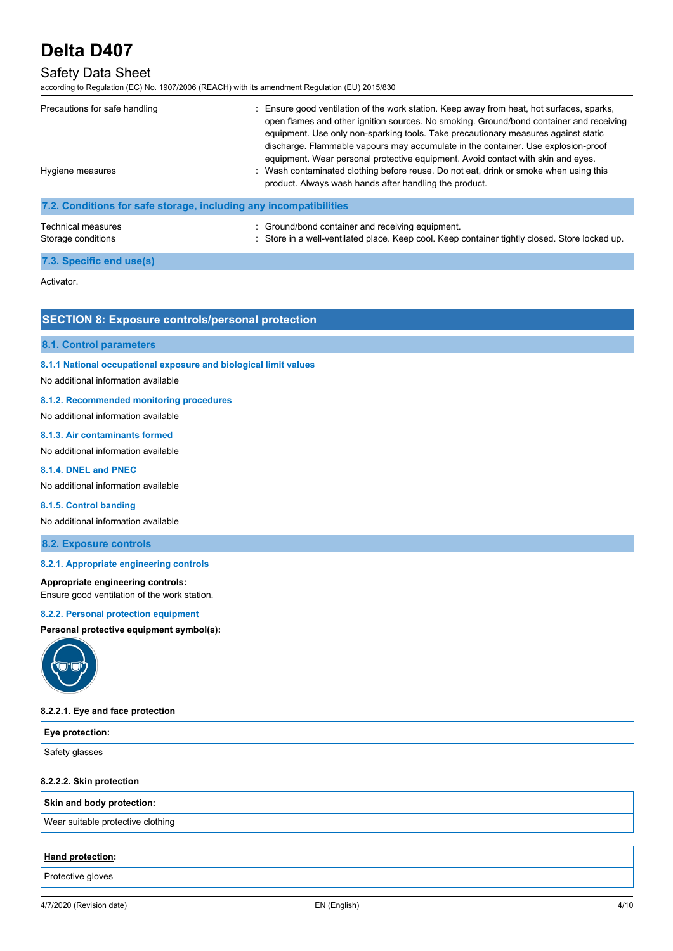

# **SAFETY DATA SHEET EDITION: 22/09/2021 PRODUCT CODE: D407**

| Precautions for safe handling<br>Hygiene measures                 | Ensure good ventilation of the work station. Keep away from heat, hot surfaces, sparks,<br>open flames and other ignition sources. No smoking. Ground/bond container and receiving<br>equipment. Use only non-sparking tools. Take precautionary measures against static<br>discharge. Flammable vapours may accumulate in the container. Use explosion-proof<br>equipment. Wear personal protective equipment. Avoid contact with skin and eyes.<br>: Wash contaminated clothing before reuse. Do not eat, drink or smoke when using this<br>product. Always wash hands after handling the product. |
|-------------------------------------------------------------------|------------------------------------------------------------------------------------------------------------------------------------------------------------------------------------------------------------------------------------------------------------------------------------------------------------------------------------------------------------------------------------------------------------------------------------------------------------------------------------------------------------------------------------------------------------------------------------------------------|
| 7.2. Conditions for safe storage, including any incompatibilities |                                                                                                                                                                                                                                                                                                                                                                                                                                                                                                                                                                                                      |
| Technical measures<br>Storage conditions                          | : Ground/bond container and receiving equipment.<br>: Store in a well-ventilated place. Keep cool. Keep container tightly closed. Store locked up.                                                                                                                                                                                                                                                                                                                                                                                                                                                   |

# **7.3. Specific end use(s)**

Activator.

# **SECTION 8: Exposure controls/personal protection**

## **8.1. Control parameters**

# **8.1.1 National occupational exposure and biological limit values**

## No additional information available

## **8.1.2. Recommended monitoring procedures**

No additional information available

## **8.1.3. Air contaminants formed**

# No additional information available

## **8.1.4. DNEL and PNEC**

No additional information available

## **8.1.5. Control banding**

No additional information available

**8.2. Exposure controls**

# **8.2.1. Appropriate engineering controls**

## **Appropriate engineering controls:**

Ensure good ventilation of the work station.

## **8.2.2. Personal protection equipment**

**Personal protective equipment symbol(s):**



## **8.2.2.1. Eye and face protection**

| Eye protection: |  |
|-----------------|--|
| Safety glasses  |  |

# **8.2.2.2. Skin protection**

**Skin and body protection:**

Wear suitable protective clothing

# **Hand protection:**

Protective gloves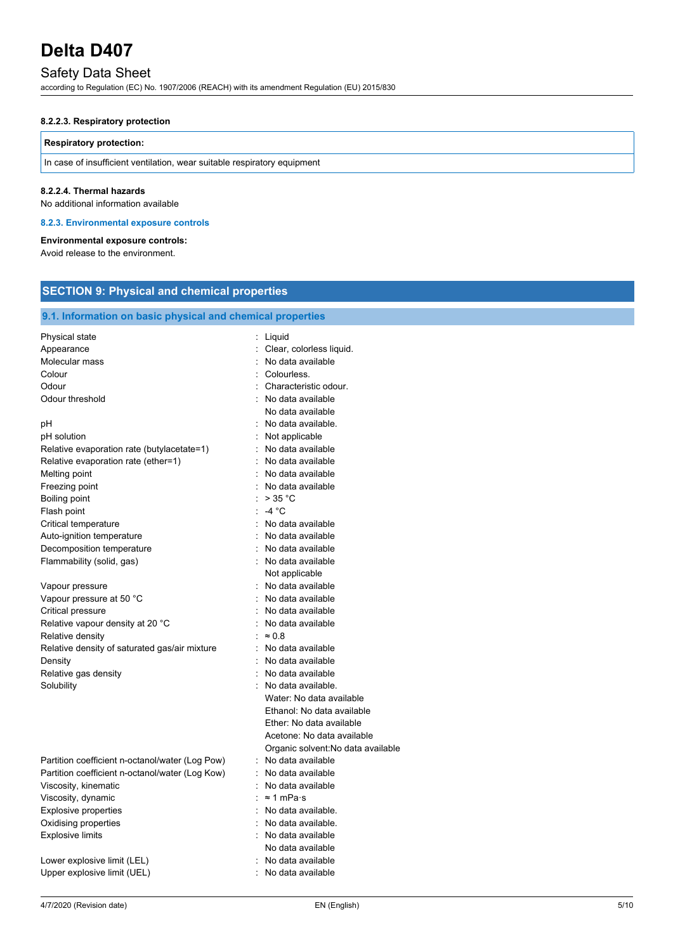

## **8.2.2.3. Respiratory protection**

#### **Respiratory protection:**

In case of insufficient ventilation, wear suitable respiratory equipment

#### **8.2.2.4. Thermal hazards**

No additional information available

#### **8.2.3. Environmental exposure controls**

#### **Environmental exposure controls:**

Avoid release to the environment.

# **SECTION 9: Physical and chemical properties**

| 9.1. Information on basic physical and chemical properties                                                                                                                                                           |                                                                                                                                                                                                             |
|----------------------------------------------------------------------------------------------------------------------------------------------------------------------------------------------------------------------|-------------------------------------------------------------------------------------------------------------------------------------------------------------------------------------------------------------|
| Physical state<br>Appearance<br>Molecular mass<br>Colour<br>Odour<br>Odour threshold                                                                                                                                 | ÷.<br>Liquid<br>Clear, colorless liquid.<br>t.<br>: No data available<br>: Colourless.<br>: Characteristic odour.<br>No data available<br>÷.<br>No data available                                           |
| рH<br>pH solution<br>Relative evaporation rate (butylacetate=1)<br>Relative evaporation rate (ether=1)<br>Melting point                                                                                              | : No data available.<br>Not applicable<br>: No data available<br>: No data available<br>: No data available                                                                                                 |
| Freezing point<br>Boiling point<br>Flash point<br>Critical temperature                                                                                                                                               | No data available<br>×,<br>$>$ 35 °C<br>: -4 °C<br>: No data available                                                                                                                                      |
| Auto-ignition temperature<br>Decomposition temperature<br>Flammability (solid, gas)                                                                                                                                  | : No data available<br>No data available<br>: No data available<br>Not applicable                                                                                                                           |
| Vapour pressure<br>Vapour pressure at 50 °C<br>Critical pressure<br>Relative vapour density at 20 °C<br>Relative density                                                                                             | No data available<br>No data available<br>t.<br>: No data available<br>: No data available<br>÷.<br>$\approx 0.8$                                                                                           |
| Relative density of saturated gas/air mixture<br>Density<br>Relative gas density<br>Solubility                                                                                                                       | : No data available<br>: No data available<br>: No data available<br>No data available.<br>Water: No data available<br>Ethanol: No data available<br>Ether: No data available<br>Acetone: No data available |
| Partition coefficient n-octanol/water (Log Pow)<br>Partition coefficient n-octanol/water (Log Kow)<br>Viscosity, kinematic<br>Viscosity, dynamic<br>Explosive properties<br>Oxidising properties<br>Explosive limits | Organic solvent: No data available<br>No data available<br>No data available<br>٠.<br>No data available<br>: ≈1 mPa·s<br>: No data available.<br>No data available.<br>No data available                    |

Lower explosive limit (LEL)  $\qquad \qquad$ : No data available Upper explosive limit (UEL)  $\qquad \qquad$ : No data available

: No data available No data available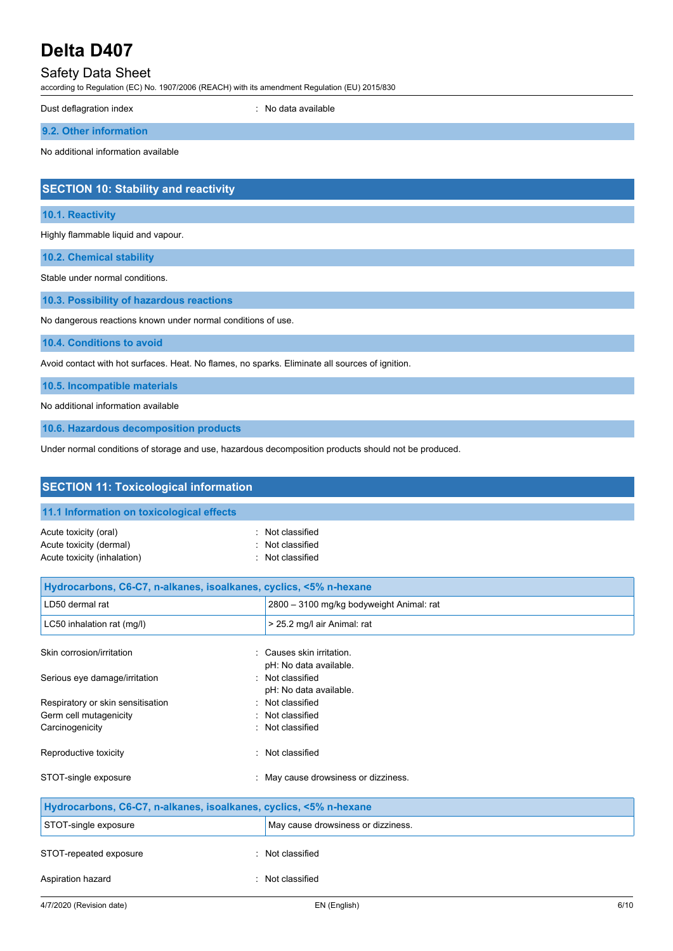

Dust deflagration index <br> **Example 20** index **index**<br> **Example 20** index **index**<br> **Example 20** index

**9.2. Other information**

No additional information available

# **SECTION 10: Stability and reactivity**

#### **10.1. Reactivity**

Highly flammable liquid and vapour.

**10.2. Chemical stability**

Stable under normal conditions.

**10.3. Possibility of hazardous reactions**

No dangerous reactions known under normal conditions of use.

**10.4. Conditions to avoid**

Avoid contact with hot surfaces. Heat. No flames, no sparks. Eliminate all sources of ignition.

**10.5. Incompatible materials**

No additional information available

**10.6. Hazardous decomposition products**

Under normal conditions of storage and use, hazardous decomposition products should not be produced.

| <b>SECTION 11: Toxicological information</b>                                    |                                                        |
|---------------------------------------------------------------------------------|--------------------------------------------------------|
| 11.1 Information on toxicological effects                                       |                                                        |
| Acute toxicity (oral)<br>Acute toxicity (dermal)<br>Acute toxicity (inhalation) | : Not classified<br>Not classified<br>: Not classified |
| Hydrocarbons, C6-C7, n-alkanes, isoalkanes, cyclics, <5% n-hexane               |                                                        |
| LD50 dermal rat                                                                 | 2800 - 3100 mg/kg bodyweight Animal: rat               |
| LC50 inhalation rat (mg/l)                                                      | > 25.2 mg/l air Animal: rat                            |
| Skin corrosion/irritation                                                       | : Causes skin irritation.<br>pH: No data available.    |
| Serious eye damage/irritation                                                   | : Not classified<br>pH: No data available.             |
| Respiratory or skin sensitisation                                               | : Not classified                                       |
| Germ cell mutagenicity                                                          | Not classified                                         |
| Carcinogenicity                                                                 | : Not classified                                       |
| Reproductive toxicity                                                           | Not classified                                         |
| STOT-single exposure                                                            | : May cause drowsiness or dizziness.                   |
| Hydrocarbons, C6-C7, n-alkanes, isoalkanes, cyclics, <5% n-hexane               |                                                        |
| STOT-single exposure                                                            | May cause drowsiness or dizziness.                     |
| STOT-repeated exposure                                                          | : Not classified                                       |
| Aspiration hazard                                                               | : Not classified                                       |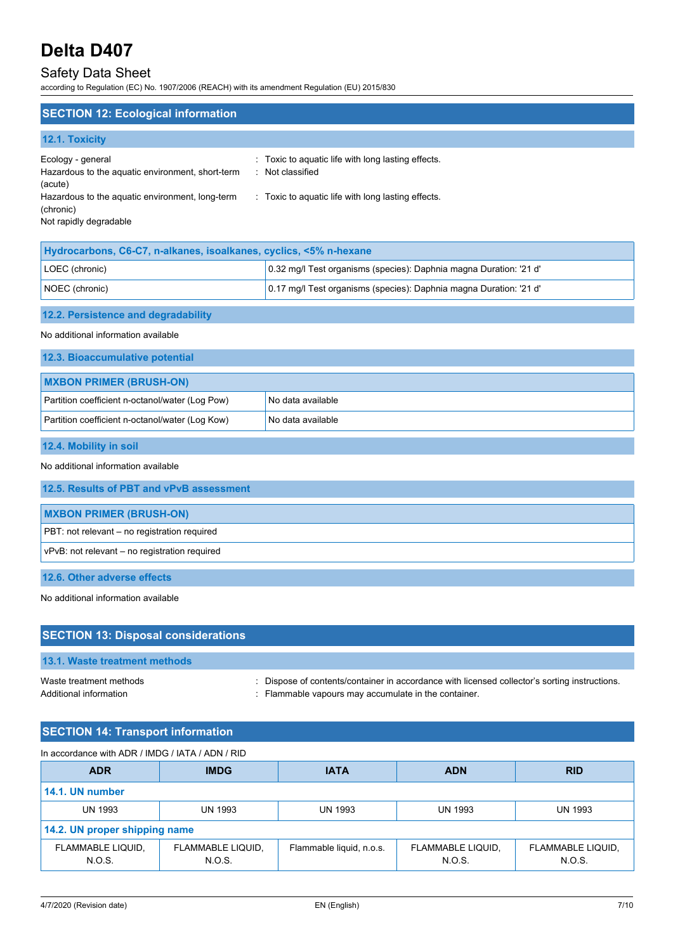

# **SECTION 12: Ecological information**

# **12.1. Toxicity**

| Ecology - general                                | : Toxic to aquatic life with long lasting effects. |
|--------------------------------------------------|----------------------------------------------------|
| Hazardous to the aquatic environment, short-term | : Not classified                                   |
| (acute)                                          |                                                    |
| Hazardous to the aquatic environment, long-term  | : Toxic to aquatic life with long lasting effects. |
| (chronic)                                        |                                                    |
| Not rapidly degradable                           |                                                    |
|                                                  |                                                    |

| Hydrocarbons, C6-C7, n-alkanes, isoalkanes, cyclics, <5% n-hexane |                                                                    |
|-------------------------------------------------------------------|--------------------------------------------------------------------|
| LOEC (chronic)                                                    | 0.32 mg/l Test organisms (species): Daphnia magna Duration: '21 d' |
| NOEC (chronic)                                                    | 0.17 mg/l Test organisms (species): Daphnia magna Duration: '21 d' |
|                                                                   |                                                                    |

# **12.2. Persistence and degradability**

No additional information available

## **12.3. Bioaccumulative potential**

| <b>MXBON PRIMER (BRUSH-ON)</b>                  |                     |
|-------------------------------------------------|---------------------|
| Partition coefficient n-octanol/water (Log Pow) | I No data available |
| Partition coefficient n-octanol/water (Log Kow) | l No data available |

## **12.4. Mobility in soil**

#### No additional information available

| 12.5. Results of PBT and vPvB assessment      |
|-----------------------------------------------|
| <b>MXBON PRIMER (BRUSH-ON)</b>                |
| PBT: not relevant – no registration required  |
| vPvB: not relevant – no registration required |
| .                                             |

# **12.6. Other adverse effects**

No additional information available

| <b>SECTION 13: Disposal considerations</b>        |                                                                                                                                                       |
|---------------------------------------------------|-------------------------------------------------------------------------------------------------------------------------------------------------------|
| 13.1. Waste treatment methods                     |                                                                                                                                                       |
| Waste treatment methods<br>Additional information | : Dispose of contents/container in accordance with licensed collector's sorting instructions.<br>: Flammable vapours may accumulate in the container. |

# **SECTION 14: Transport information**

| In accordance with ADR / IMDG / IATA / ADN / RID |                             |                          |                             |                             |  |
|--------------------------------------------------|-----------------------------|--------------------------|-----------------------------|-----------------------------|--|
| <b>ADR</b>                                       | <b>IMDG</b>                 | <b>IATA</b>              | <b>ADN</b>                  | <b>RID</b>                  |  |
| 14.1. UN number                                  |                             |                          |                             |                             |  |
| <b>UN 1993</b>                                   | <b>UN 1993</b>              | <b>UN 1993</b>           | <b>UN 1993</b>              | <b>UN 1993</b>              |  |
| 14.2. UN proper shipping name                    |                             |                          |                             |                             |  |
| FLAMMABLE LIQUID,<br>N.O.S.                      | FLAMMABLE LIQUID,<br>N.O.S. | Flammable liquid, n.o.s. | FLAMMABLE LIQUID,<br>N.O.S. | FLAMMABLE LIQUID,<br>N.O.S. |  |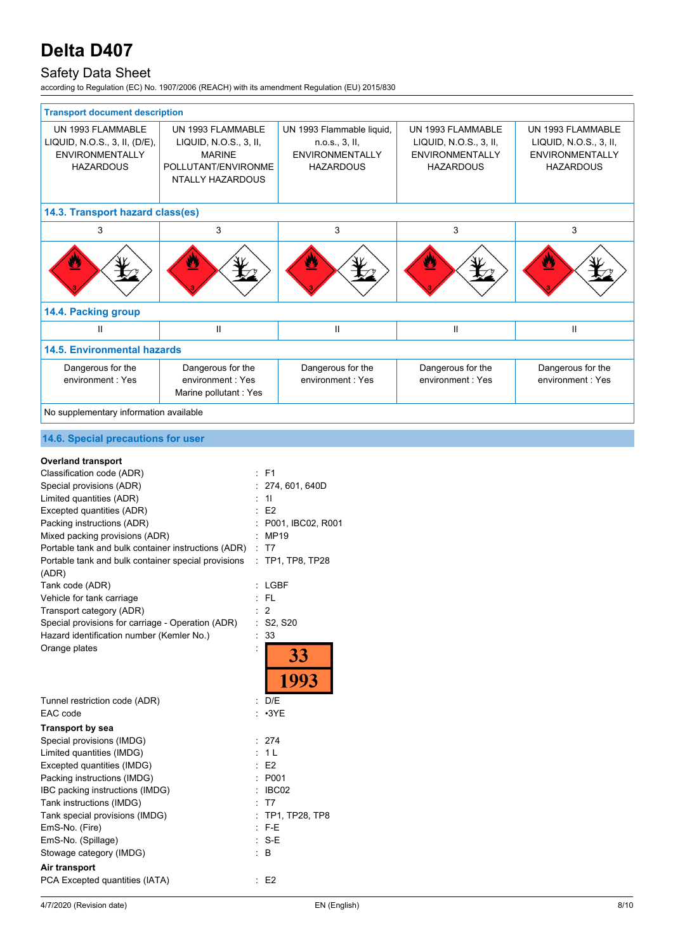

# **SAFETY DATA SHEET EDITION: 22/09/2021 PRODUCT CODE: D407**

| <b>Transport document description</b>                                                            |                                                                                                         |                                                                                           |                                                                                    |                                                                                           |
|--------------------------------------------------------------------------------------------------|---------------------------------------------------------------------------------------------------------|-------------------------------------------------------------------------------------------|------------------------------------------------------------------------------------|-------------------------------------------------------------------------------------------|
| UN 1993 FLAMMABLE<br>LIQUID, N.O.S., 3, II, (D/E),<br><b>ENVIRONMENTALLY</b><br><b>HAZARDOUS</b> | UN 1993 FLAMMARLE<br>LIQUID, N.O.S., 3, II,<br><b>MARINE</b><br>POLLUTANT/ENVIRONME<br>NTALLY HAZARDOUS | UN 1993 Flammable liquid,<br>n.o.s., 3, II,<br><b>FNVIRONMENTALLY</b><br><b>HAZARDOUS</b> | UN 1993 FLAMMABLE<br>LIQUID, N.O.S., 3, II,<br>ENVIRONMENTALLY<br><b>HAZARDOUS</b> | UN 1993 FLAMMABLE<br>LIQUID, N.O.S., 3, II,<br><b>ENVIRONMENTALLY</b><br><b>HAZARDOUS</b> |
| 14.3. Transport hazard class(es)                                                                 |                                                                                                         |                                                                                           |                                                                                    |                                                                                           |
| 3                                                                                                | 3                                                                                                       | 3                                                                                         | 3                                                                                  | 3                                                                                         |
| B                                                                                                | $\bullet$                                                                                               | $\overline{\mathbf{a}}$                                                                   | 粵                                                                                  | V                                                                                         |
| 14.4. Packing group                                                                              |                                                                                                         |                                                                                           |                                                                                    |                                                                                           |
| Ш                                                                                                | $\mathbf{II}$                                                                                           | $\mathbf{I}$                                                                              | $\mathbf{H}$                                                                       | $\mathbf{H}$                                                                              |
| <b>14.5. Environmental hazards</b>                                                               |                                                                                                         |                                                                                           |                                                                                    |                                                                                           |
| Dangerous for the<br>environment: Yes                                                            | Dangerous for the<br>environment: Yes<br>Marine pollutant: Yes                                          | Dangerous for the<br>environment Yes                                                      | Dangerous for the<br>environment: Yes                                              | Dangerous for the<br>environment: Yes                                                     |
| No supplementary information available                                                           |                                                                                                         |                                                                                           |                                                                                    |                                                                                           |

# **14.6. Special precautions for user**

# **Overland transport**

| Classification code (ADR)                           |   | F <sub>1</sub>                   |
|-----------------------------------------------------|---|----------------------------------|
| Special provisions (ADR)                            |   | 274, 601, 640D                   |
| Limited quantities (ADR)                            |   | 11                               |
| Excepted quantities (ADR)                           |   | E2                               |
| Packing instructions (ADR)                          |   | P001, IBC02, R001                |
| Mixed packing provisions (ADR)                      |   | <b>MP19</b>                      |
| Portable tank and bulk container instructions (ADR) | ÷ | T7                               |
| Portable tank and bulk container special provisions | ÷ | TP1, TP8, TP28                   |
| (ADR)                                               |   |                                  |
| Tank code (ADR)                                     |   | LGBF                             |
| Vehicle for tank carriage                           |   | <b>FL</b>                        |
| Transport category (ADR)                            |   | 2                                |
| Special provisions for carriage - Operation (ADR)   | ÷ | S <sub>2</sub> , S <sub>20</sub> |
| Hazard identification number (Kemler No.)           |   | 33                               |
| Orange plates                                       |   |                                  |
|                                                     |   | <u>33</u>                        |
|                                                     |   | 1993                             |
| Tunnel restriction code (ADR)                       |   | : D/E                            |
| EAC code                                            |   | $: \cdot$ 3YE                    |
| <b>Transport by sea</b>                             |   |                                  |
| Special provisions (IMDG)                           |   | 274                              |
| Limited quantities (IMDG)                           |   | 1 <sub>L</sub>                   |
| Excepted quantities (IMDG)                          |   | E2                               |
| Packing instructions (IMDG)                         |   | P001                             |
| IBC packing instructions (IMDG)                     |   | IBC02                            |
| Tank instructions (IMDG)                            |   | T7                               |
| Tank special provisions (IMDG)                      |   | TP1, TP28, TP8                   |
| EmS-No. (Fire)                                      |   | F-E                              |
| EmS-No. (Spillage)                                  |   | S-E                              |
| Stowage category (IMDG)                             |   | B                                |
| Air transport                                       |   |                                  |
| PCA Excepted quantities (IATA)                      |   | E <sub>2</sub>                   |
|                                                     |   |                                  |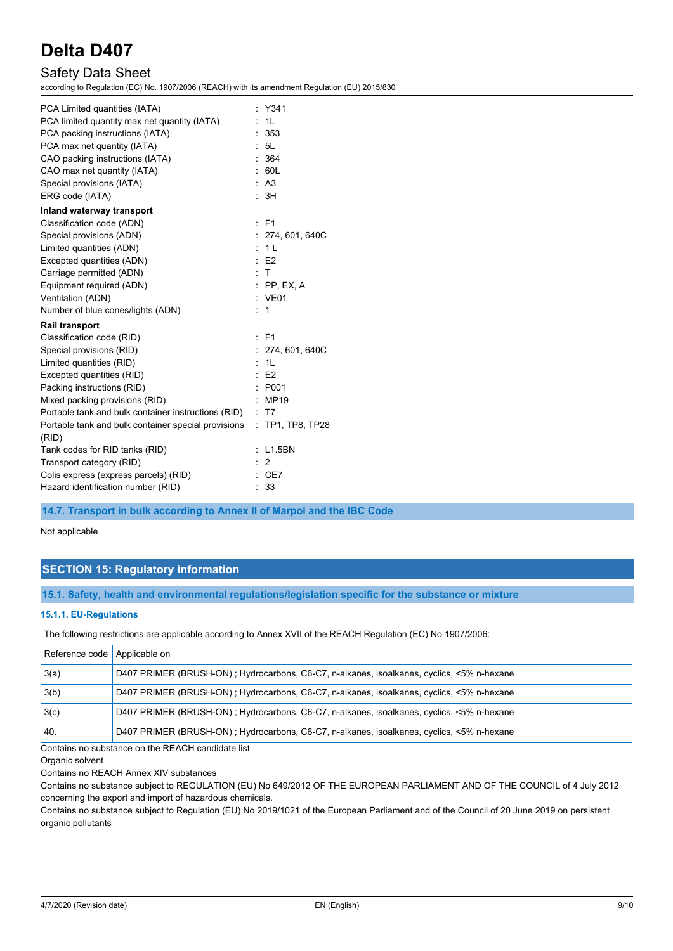

| PCA Limited quantities (IATA)                       |   | Y341             |
|-----------------------------------------------------|---|------------------|
| PCA limited quantity max net quantity (IATA)        |   | 1L               |
| PCA packing instructions (IATA)                     |   | 353              |
| PCA max net quantity (IATA)                         |   | : 5L             |
| CAO packing instructions (IATA)                     |   | 364              |
| CAO max net quantity (IATA)                         |   | 60L              |
| Special provisions (IATA)                           |   | : A3             |
| ERG code (IATA)                                     |   | : 3H             |
| Inland waterway transport                           |   |                  |
| Classification code (ADN)                           |   | $E$ F1           |
| Special provisions (ADN)                            |   | : 274,601,640C   |
| Limited quantities (ADN)                            |   | : 1L             |
| Excepted quantities (ADN)                           |   | E2               |
| Carriage permitted (ADN)                            |   | : T              |
| Equipment required (ADN)                            |   | $:$ PP, EX, A    |
| Ventilation (ADN)                                   |   | : VE01           |
| Number of blue cones/lights (ADN)                   |   | 1                |
| <b>Rail transport</b>                               |   |                  |
| Classification code (RID)                           | ÷ | F <sub>1</sub>   |
| Special provisions (RID)                            |   | 274, 601, 640C   |
| Limited quantities (RID)                            |   | 1L               |
| Excepted quantities (RID)                           |   | E2               |
| Packing instructions (RID)                          |   | P001             |
| Mixed packing provisions (RID)                      |   | MP19             |
| Portable tank and bulk container instructions (RID) |   | $\pm$ T7         |
| Portable tank and bulk container special provisions |   | : TP1, TP8, TP28 |
| (RID)                                               |   |                  |
| Tank codes for RID tanks (RID)                      |   | L1.5BN           |
| Transport category (RID)                            |   | 2                |
| Colis express (express parcels) (RID)               |   | : CE7            |
| Hazard identification number (RID)                  |   | 33               |
|                                                     |   |                  |

**14.7. Transport in bulk according to Annex II of Marpol and the IBC Code**

Not applicable

# **SECTION 15: Regulatory information**

**15.1. Safety, health and environmental regulations/legislation specific for the substance or mixture**

#### **15.1.1. EU-Regulations**

| The following restrictions are applicable according to Annex XVII of the REACH Regulation (EC) No 1907/2006: |                                                                                           |  |
|--------------------------------------------------------------------------------------------------------------|-------------------------------------------------------------------------------------------|--|
| Reference code                                                                                               | Applicable on                                                                             |  |
| 3(a)                                                                                                         | D407 PRIMER (BRUSH-ON); Hydrocarbons, C6-C7, n-alkanes, isoalkanes, cyclics, <5% n-hexane |  |
| 3(b)                                                                                                         | D407 PRIMER (BRUSH-ON); Hydrocarbons, C6-C7, n-alkanes, isoalkanes, cyclics, <5% n-hexane |  |
| 3(c)                                                                                                         | D407 PRIMER (BRUSH-ON); Hydrocarbons, C6-C7, n-alkanes, isoalkanes, cyclics, <5% n-hexane |  |
| 40.                                                                                                          | D407 PRIMER (BRUSH-ON); Hydrocarbons, C6-C7, n-alkanes, isoalkanes, cyclics, <5% n-hexane |  |

Contains no substance on the REACH candidate list

Organic solvent

Contains no REACH Annex XIV substances

Contains no substance subject to REGULATION (EU) No 649/2012 OF THE EUROPEAN PARLIAMENT AND OF THE COUNCIL of 4 July 2012 concerning the export and import of hazardous chemicals.

Contains no substance subject to Regulation (EU) No 2019/1021 of the European Parliament and of the Council of 20 June 2019 on persistent organic pollutants